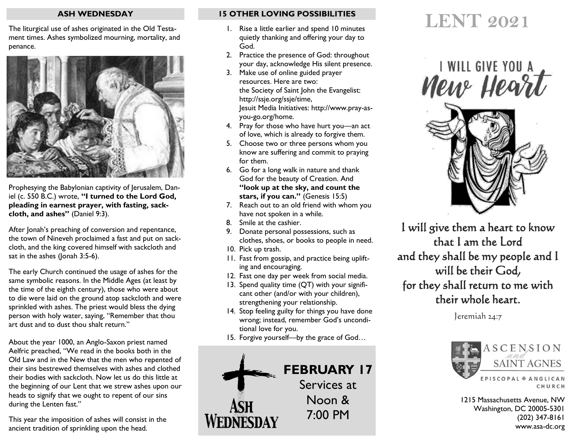## **ASH WEDNESDAY**

The liturgical use of ashes originated in the Old Testament times. Ashes symbolized mourning, mortality, and penance.



Prophesying the Babylonian captivity of Jerusalem, Daniel (c. 550 B.C.) wrote, **"I turned to the Lord God, pleading in earnest prayer, with fasting, sackcloth, and ashes"** (Daniel 9:3).

After Jonah's preaching of conversion and repentance, the town of Nineveh proclaimed a fast and put on sackcloth, and the king covered himself with sackcloth and sat in the ashes (Jonah 3:5-6).

The early Church continued the usage of ashes for the same symbolic reasons. In the Middle Ages (at least by the time of the eighth century), those who were about to die were laid on the ground atop sackcloth and were sprinkled with ashes. The priest would bless the dying person with holy water, saying, "Remember that thou art dust and to dust thou shalt return."

About the year 1000, an Anglo-Saxon priest named Aelfric preached, "We read in the books both in the Old Law and in the New that the men who repented of their sins bestrewed themselves with ashes and clothed their bodies with sackcloth. Now let us do this little at the beginning of our Lent that we strew ashes upon our heads to signify that we ought to repent of our sins during the Lenten fast."

This year the imposition of ashes will consist in the ancient tradition of sprinkling upon the head.

# **15 OTHER LOVING POSSIBILITIES**

- 1. Rise a little earlier and spend 10 minutes quietly thanking and offering your day to God.
- 2. Practice the presence of God: throughout your day, acknowledge His silent presence.
- 3. Make use of online guided prayer resources. Here are two: the Society of Saint John the Evangelist: http://ssje.org/ssje/time, Jesuit Media Initiatives: http://www.pray-asyou-go.org/home.
- 4. Pray for those who have hurt you—an act of love, which is already to forgive them.
- 5. Choose two or three persons whom you know are suffering and commit to praying for them.
- 6. Go for a long walk in nature and thank God for the beauty of Creation. And **"look up at the sky, and count the stars, if you can."** (Genesis 15:5)
- 7. Reach out to an old friend with whom you have not spoken in a while.
- 8. Smile at the cashier.
- 9. Donate personal possessions, such as clothes, shoes, or books to people in need.
- 10. Pick up trash.
- 11. Fast from gossip, and practice being uplifting and encouraging.
- 12. Fast one day per week from social media.
- 13. Spend quality time (QT) with your significant other (and/or with your children), strengthening your relationship.
- 14. Stop feeling guilty for things you have done wrong; instead, remember God's unconditional love for you.
- 15. Forgive yourself—by the grace of God…



# **LENT 2021**



I will give them a heart to know that I am the Lord and they shall be my people and I will be their God, for they shall return to me with their whole heart.

Jeremiah 24:7



1215 Massachusetts Avenue, NW Washington, DC 20005-5301 (202) 347-8161 www.asa-dc.org